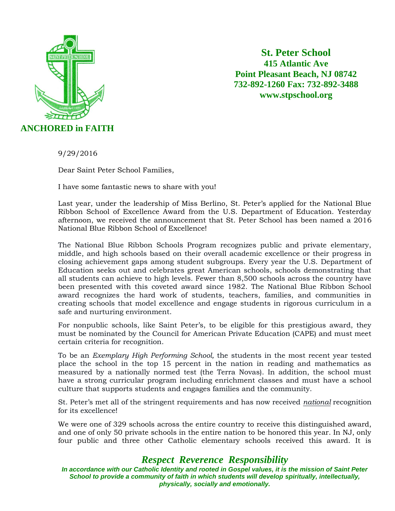

**St. Peter School 415 Atlantic Ave Point Pleasant Beach, NJ 08742 732-892-1260 Fax: 732-892-3488 www.stpschool.org**

9/29/2016

Dear Saint Peter School Families,

I have some fantastic news to share with you!

Last year, under the leadership of Miss Berlino, St. Peter's applied for the National Blue Ribbon School of Excellence Award from the U.S. Department of Education. Yesterday afternoon, we received the announcement that St. Peter School has been named a 2016 National Blue Ribbon School of Excellence!

The National Blue Ribbon Schools Program recognizes public and private elementary, middle, and high schools based on their overall academic excellence or their progress in closing achievement gaps among student subgroups. Every year the U.S. Department of Education seeks out and celebrates great American schools, schools demonstrating that all students can achieve to high levels. Fewer than 8,500 schools across the country have been presented with this coveted award since 1982. The National Blue Ribbon School award recognizes the hard work of students, teachers, families, and communities in creating schools that model excellence and engage students in rigorous curriculum in a safe and nurturing environment.

For nonpublic schools, like Saint Peter's, to be eligible for this prestigious award, they must be nominated by the Council for American Private Education (CAPE) and must meet certain criteria for recognition.

To be an *Exemplary High Performing School,* the students in the most recent year tested place the school in the top 15 percent in the nation in reading and mathematics as measured by a nationally normed test (the Terra Novas). In addition, the school must have a strong curricular program including enrichment classes and must have a school culture that supports students and engages families and the community.

St. Peter's met all of the stringent requirements and has now received *national* recognition for its excellence!

We were one of 329 schools across the entire country to receive this distinguished award, and one of only 50 private schools in the entire nation to be honored this year. In NJ, only four public and three other Catholic elementary schools received this award. It is

## *Respect Reverence Responsibility*

*In accordance with our Catholic Identity and rooted in Gospel values, it is the mission of Saint Peter School to provide a community of faith in which students will develop spiritually, intellectually, physically, socially and emotionally.*